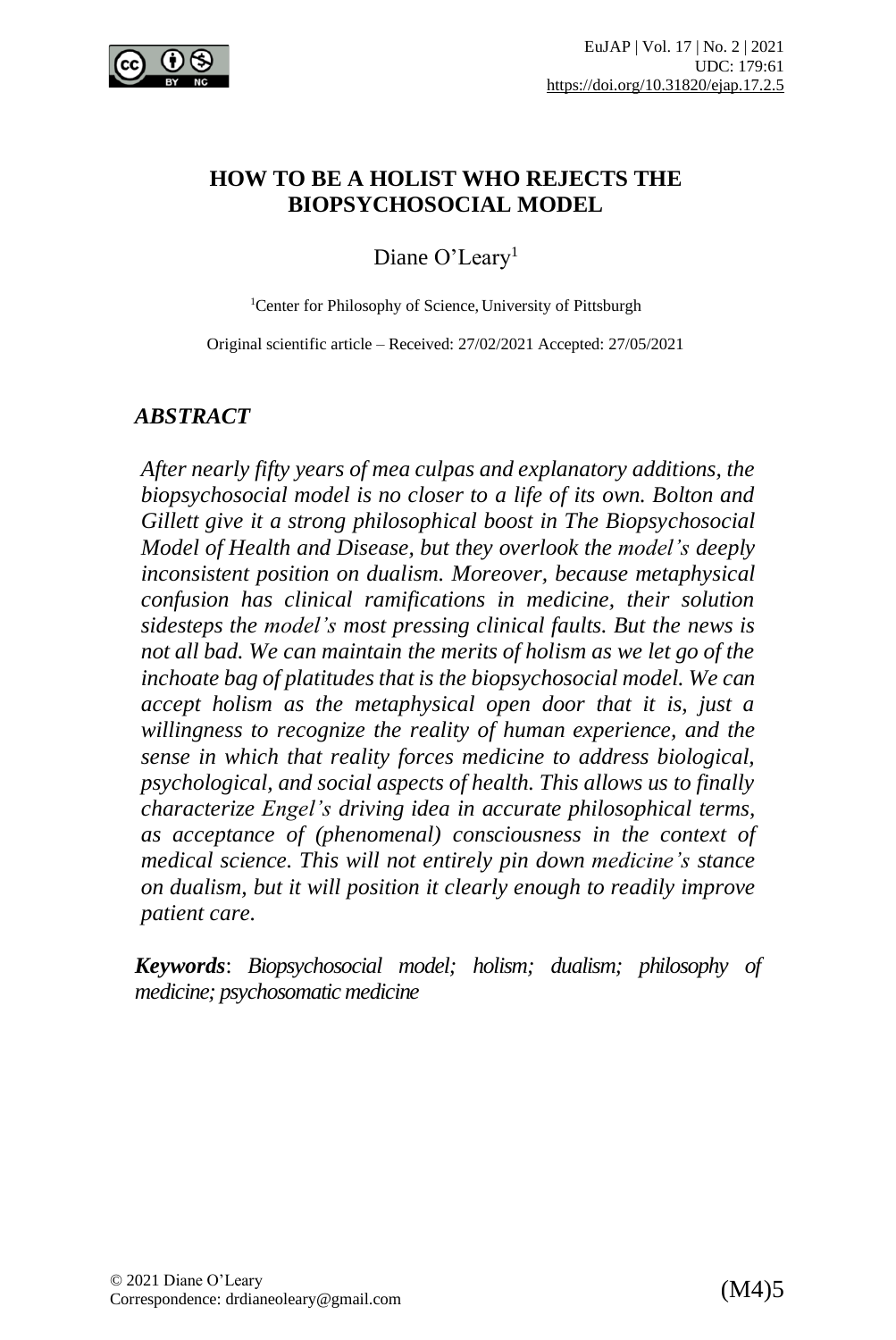

#### **HOW TO BE A HOLIST WHO REJECTS THE BIOPSYCHOSOCIAL MODEL**

Diane O'Leary<sup>1</sup>

<sup>1</sup>Center for Philosophy of Science, University of Pittsburgh

Original scientific article – Received: 27/02/2021 Accepted: 27/05/2021

#### *ABSTRACT*

*After nearly fifty years of mea culpas and explanatory additions, the biopsychosocial model is no closer to a life of its own. Bolton and Gillett give it a strong philosophical boost in The Biopsychosocial Model of Health and Disease, but they overlook the model's deeply inconsistent position on dualism. Moreover, because metaphysical confusion has clinical ramifications in medicine, their solution sidesteps the model's most pressing clinical faults. But the news is not all bad. We can maintain the merits of holism as we let go of the inchoate bag of platitudes that is the biopsychosocial model. We can accept holism as the metaphysical open door that it is, just a willingness to recognize the reality of human experience, and the sense in which that reality forces medicine to address biological, psychological, and social aspects of health. This allows us to finally characterize Engel's driving idea in accurate philosophical terms, as acceptance of (phenomenal) consciousness in the context of medical science. This will not entirely pin down medicine's stance on dualism, but it will position it clearly enough to readily improve patient care.*

*Keywords*: *Biopsychosocial model; holism; dualism; philosophy of medicine; psychosomatic medicine*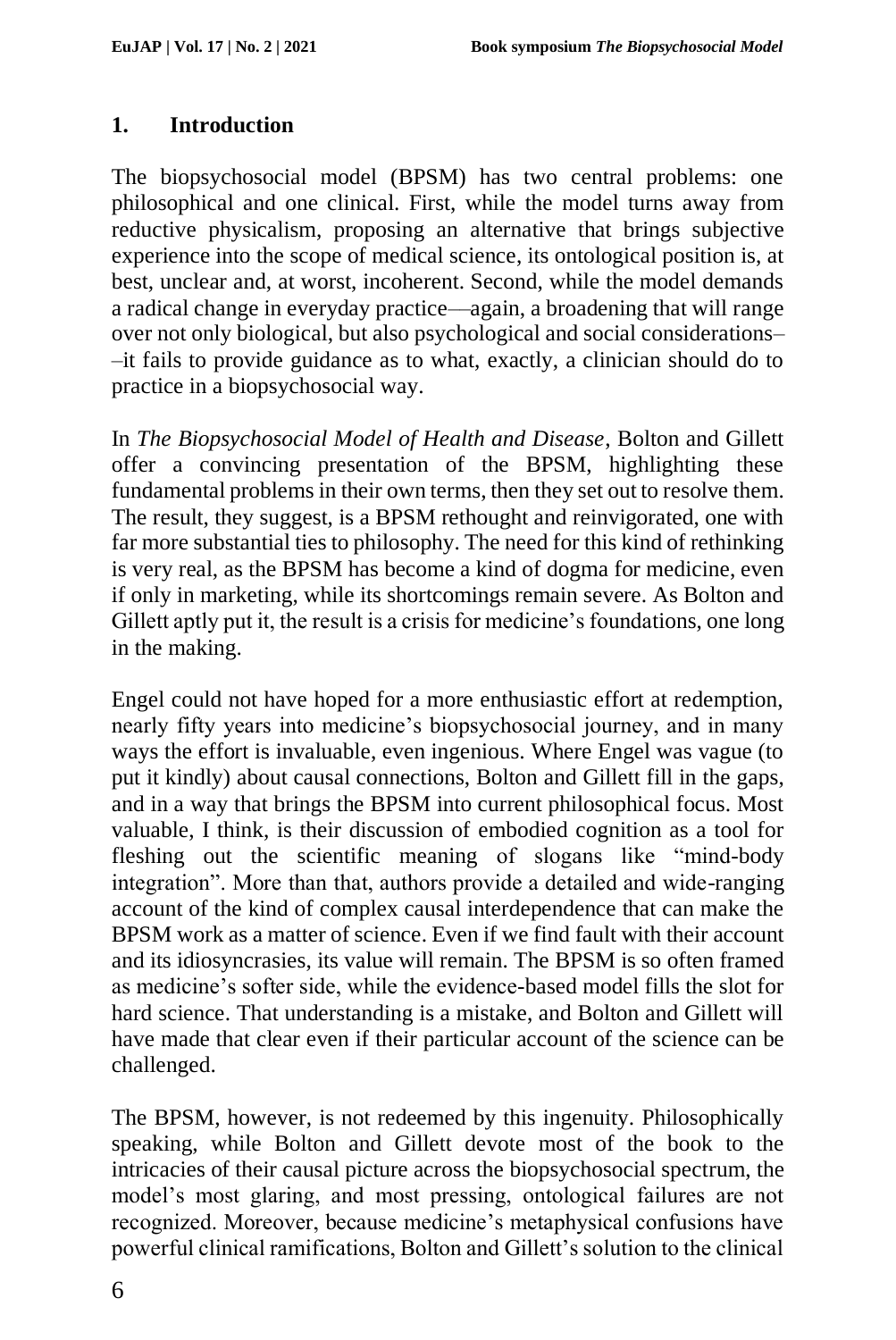### **1. Introduction**

The biopsychosocial model (BPSM) has two central problems: one philosophical and one clinical. First, while the model turns away from reductive physicalism, proposing an alternative that brings subjective experience into the scope of medical science, its ontological position is, at best, unclear and, at worst, incoherent. Second, while the model demands a radical change in everyday practice––again, a broadening that will range over not only biological, but also psychological and social considerations– –it fails to provide guidance as to what, exactly, a clinician should do to practice in a biopsychosocial way.

In *The Biopsychosocial Model of Health and Disease*, Bolton and Gillett offer a convincing presentation of the BPSM, highlighting these fundamental problems in their own terms, then they set out to resolve them. The result, they suggest, is a BPSM rethought and reinvigorated, one with far more substantial ties to philosophy. The need for this kind of rethinking is very real, as the BPSM has become a kind of dogma for medicine, even if only in marketing, while its shortcomings remain severe. As Bolton and Gillett aptly put it, the result is a crisis for medicine's foundations, one long in the making.

Engel could not have hoped for a more enthusiastic effort at redemption, nearly fifty years into medicine's biopsychosocial journey, and in many ways the effort is invaluable, even ingenious. Where Engel was vague (to put it kindly) about causal connections, Bolton and Gillett fill in the gaps, and in a way that brings the BPSM into current philosophical focus. Most valuable, I think, is their discussion of embodied cognition as a tool for fleshing out the scientific meaning of slogans like "mind-body integration". More than that, authors provide a detailed and wide-ranging account of the kind of complex causal interdependence that can make the BPSM work as a matter of science. Even if we find fault with their account and its idiosyncrasies, its value will remain. The BPSM is so often framed as medicine's softer side, while the evidence-based model fills the slot for hard science. That understanding is a mistake, and Bolton and Gillett will have made that clear even if their particular account of the science can be challenged.

The BPSM, however, is not redeemed by this ingenuity. Philosophically speaking, while Bolton and Gillett devote most of the book to the intricacies of their causal picture across the biopsychosocial spectrum, the model's most glaring, and most pressing, ontological failures are not recognized. Moreover, because medicine's metaphysical confusions have powerful clinical ramifications, Bolton and Gillett's solution to the clinical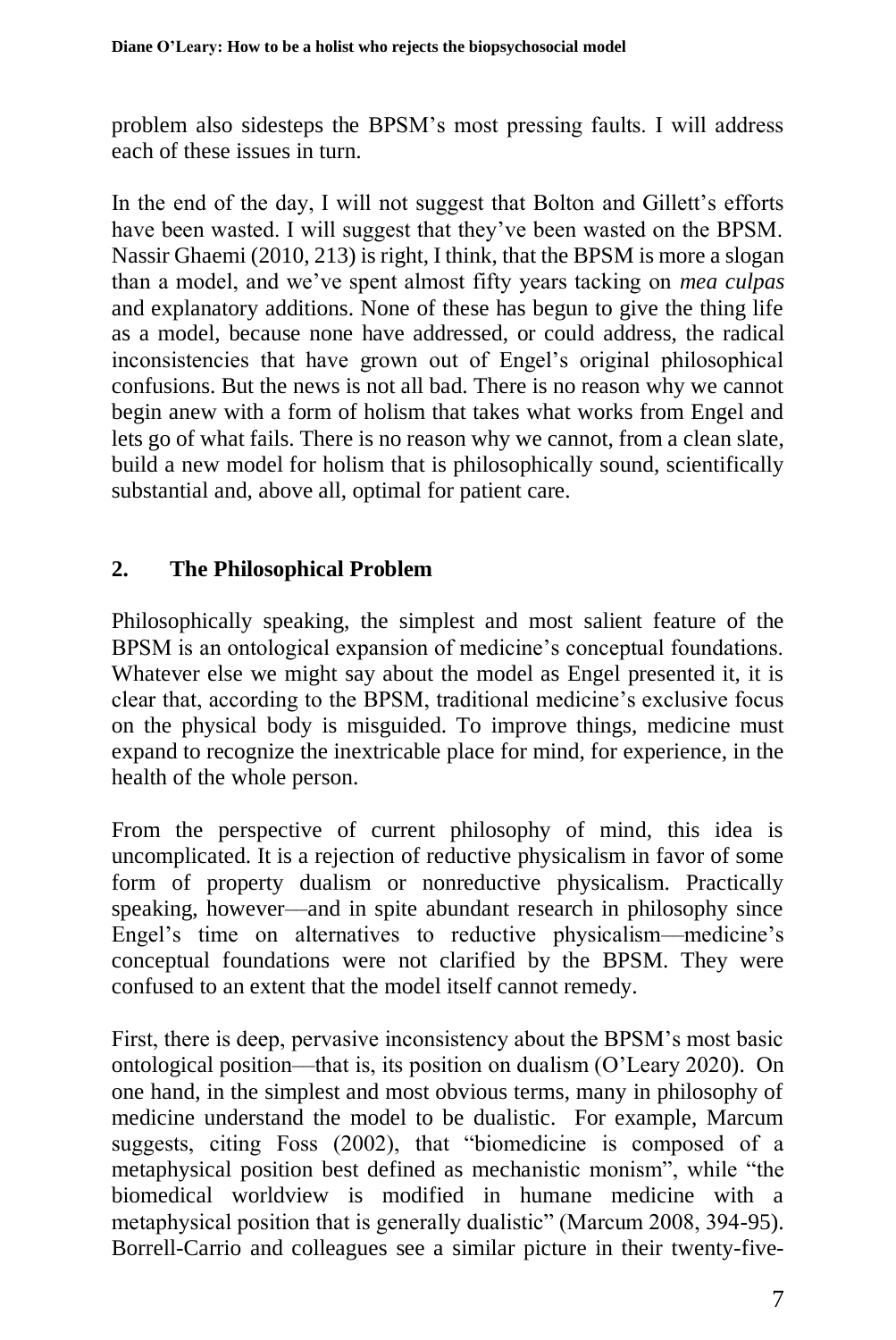problem also sidesteps the BPSM's most pressing faults. I will address each of these issues in turn.

In the end of the day, I will not suggest that Bolton and Gillett's efforts have been wasted. I will suggest that they've been wasted on the BPSM. Nassir Ghaemi (2010, 213) is right, I think, that the BPSM is more a slogan than a model, and we've spent almost fifty years tacking on *mea culpas* and explanatory additions. None of these has begun to give the thing life as a model, because none have addressed, or could address, the radical inconsistencies that have grown out of Engel's original philosophical confusions. But the news is not all bad. There is no reason why we cannot begin anew with a form of holism that takes what works from Engel and lets go of what fails. There is no reason why we cannot, from a clean slate, build a new model for holism that is philosophically sound, scientifically substantial and, above all, optimal for patient care.

# **2. The Philosophical Problem**

Philosophically speaking, the simplest and most salient feature of the BPSM is an ontological expansion of medicine's conceptual foundations. Whatever else we might say about the model as Engel presented it, it is clear that, according to the BPSM, traditional medicine's exclusive focus on the physical body is misguided. To improve things, medicine must expand to recognize the inextricable place for mind, for experience, in the health of the whole person.

From the perspective of current philosophy of mind, this idea is uncomplicated. It is a rejection of reductive physicalism in favor of some form of property dualism or nonreductive physicalism. Practically speaking, however––and in spite abundant research in philosophy since Engel's time on alternatives to reductive physicalism––medicine's conceptual foundations were not clarified by the BPSM. They were confused to an extent that the model itself cannot remedy.

First, there is deep, pervasive inconsistency about the BPSM's most basic ontological position––that is, its position on dualism (O'Leary 2020).On one hand, in the simplest and most obvious terms, many in philosophy of medicine understand the model to be dualistic. For example, Marcum suggests, citing Foss (2002), that "biomedicine is composed of a metaphysical position best defined as mechanistic monism", while "the biomedical worldview is modified in humane medicine with a metaphysical position that is generally dualistic" (Marcum 2008, 394-95). Borrell-Carrio and colleagues see a similar picture in their twenty-five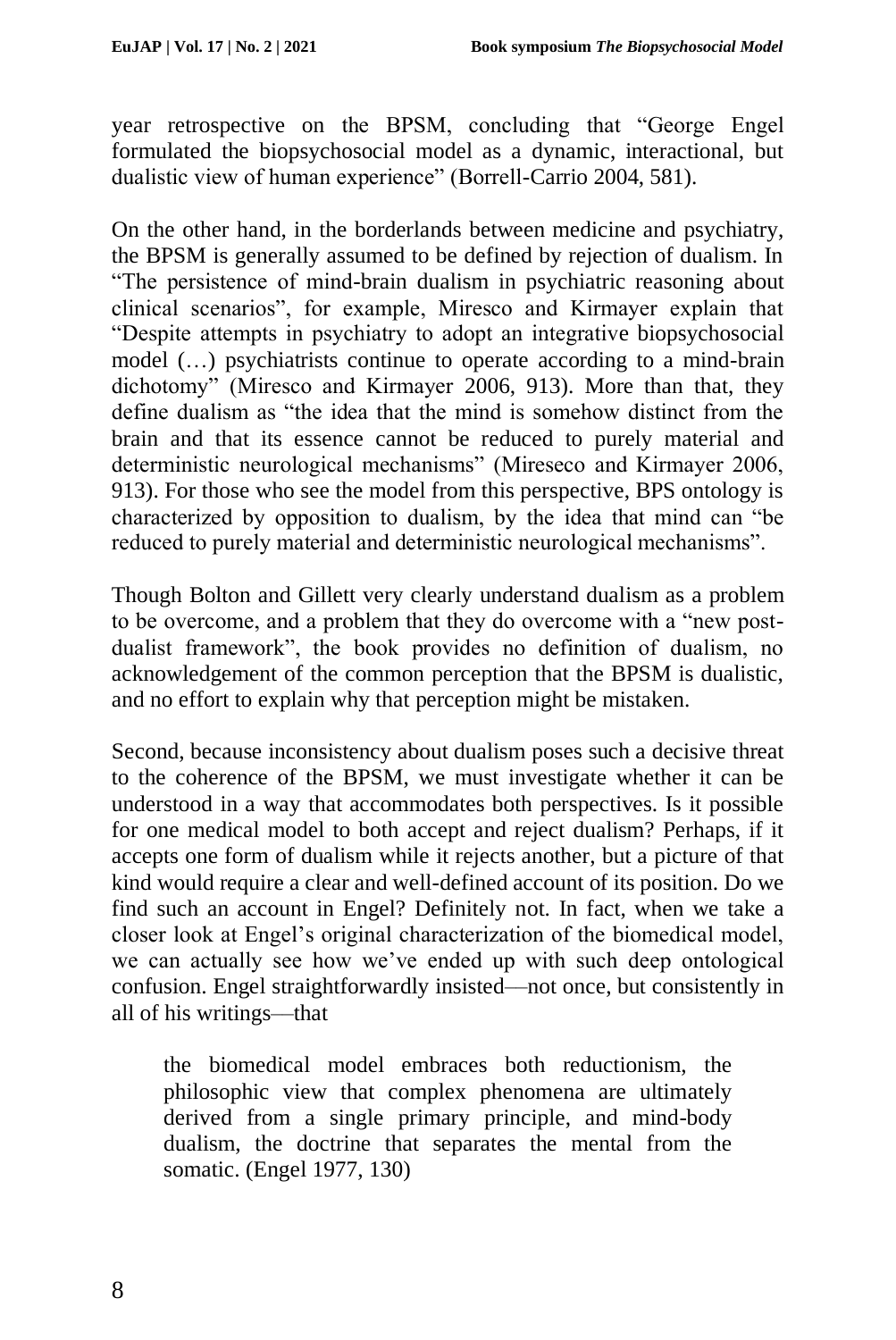year retrospective on the BPSM, concluding that "George Engel formulated the biopsychosocial model as a dynamic, interactional, but dualistic view of human experience" (Borrell-Carrio 2004, 581).

On the other hand, in the borderlands between medicine and psychiatry, the BPSM is generally assumed to be defined by rejection of dualism. In "The persistence of mind-brain dualism in psychiatric reasoning about clinical scenarios", for example, Miresco and Kirmayer explain that "Despite attempts in psychiatry to adopt an integrative biopsychosocial model (…) psychiatrists continue to operate according to a mind-brain dichotomy" (Miresco and Kirmayer 2006, 913). More than that, they define dualism as "the idea that the mind is somehow distinct from the brain and that its essence cannot be reduced to purely material and deterministic neurological mechanisms" (Mireseco and Kirmayer 2006, 913). For those who see the model from this perspective, BPS ontology is characterized by opposition to dualism, by the idea that mind can "be reduced to purely material and deterministic neurological mechanisms".

Though Bolton and Gillett very clearly understand dualism as a problem to be overcome, and a problem that they do overcome with a "new postdualist framework", the book provides no definition of dualism, no acknowledgement of the common perception that the BPSM is dualistic, and no effort to explain why that perception might be mistaken.

Second, because inconsistency about dualism poses such a decisive threat to the coherence of the BPSM, we must investigate whether it can be understood in a way that accommodates both perspectives. Is it possible for one medical model to both accept and reject dualism? Perhaps, if it accepts one form of dualism while it rejects another, but a picture of that kind would require a clear and well-defined account of its position. Do we find such an account in Engel? Definitely not. In fact, when we take a closer look at Engel's original characterization of the biomedical model, we can actually see how we've ended up with such deep ontological confusion. Engel straightforwardly insisted––not once, but consistently in all of his writings––that

the biomedical model embraces both reductionism, the philosophic view that complex phenomena are ultimately derived from a single primary principle, and mind-body dualism, the doctrine that separates the mental from the somatic. (Engel 1977, 130)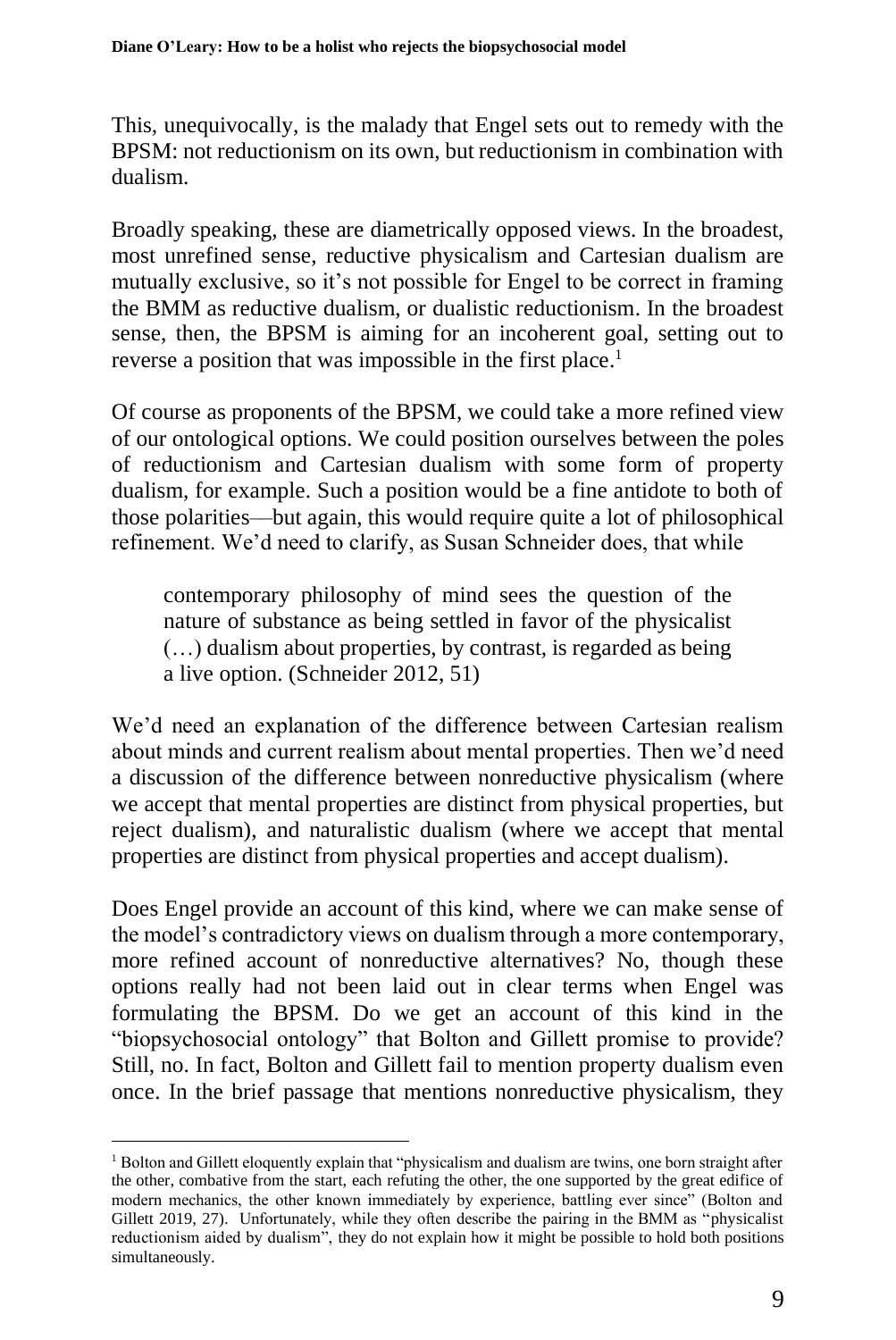This, unequivocally, is the malady that Engel sets out to remedy with the BPSM: not reductionism on its own, but reductionism in combination with dualism.

Broadly speaking, these are diametrically opposed views. In the broadest, most unrefined sense, reductive physicalism and Cartesian dualism are mutually exclusive, so it's not possible for Engel to be correct in framing the BMM as reductive dualism, or dualistic reductionism. In the broadest sense, then, the BPSM is aiming for an incoherent goal, setting out to reverse a position that was impossible in the first place.<sup>1</sup>

Of course as proponents of the BPSM, we could take a more refined view of our ontological options. We could position ourselves between the poles of reductionism and Cartesian dualism with some form of property dualism, for example. Such a position would be a fine antidote to both of those polarities––but again, this would require quite a lot of philosophical refinement. We'd need to clarify, as Susan Schneider does, that while

contemporary philosophy of mind sees the question of the nature of substance as being settled in favor of the physicalist (…) dualism about properties, by contrast, is regarded as being a live option. (Schneider 2012, 51)

We'd need an explanation of the difference between Cartesian realism about minds and current realism about mental properties. Then we'd need a discussion of the difference between nonreductive physicalism (where we accept that mental properties are distinct from physical properties, but reject dualism), and naturalistic dualism (where we accept that mental properties are distinct from physical properties and accept dualism).

Does Engel provide an account of this kind, where we can make sense of the model's contradictory views on dualism through a more contemporary, more refined account of nonreductive alternatives? No, though these options really had not been laid out in clear terms when Engel was formulating the BPSM. Do we get an account of this kind in the "biopsychosocial ontology" that Bolton and Gillett promise to provide? Still, no. In fact, Bolton and Gillett fail to mention property dualism even once. In the brief passage that mentions nonreductive physicalism, they

<sup>&</sup>lt;sup>1</sup> Bolton and Gillett eloquently explain that "physicalism and dualism are twins, one born straight after the other, combative from the start, each refuting the other, the one supported by the great edifice of modern mechanics, the other known immediately by experience, battling ever since" (Bolton and Gillett 2019, 27). Unfortunately, while they often describe the pairing in the BMM as "physicalist reductionism aided by dualism", they do not explain how it might be possible to hold both positions simultaneously.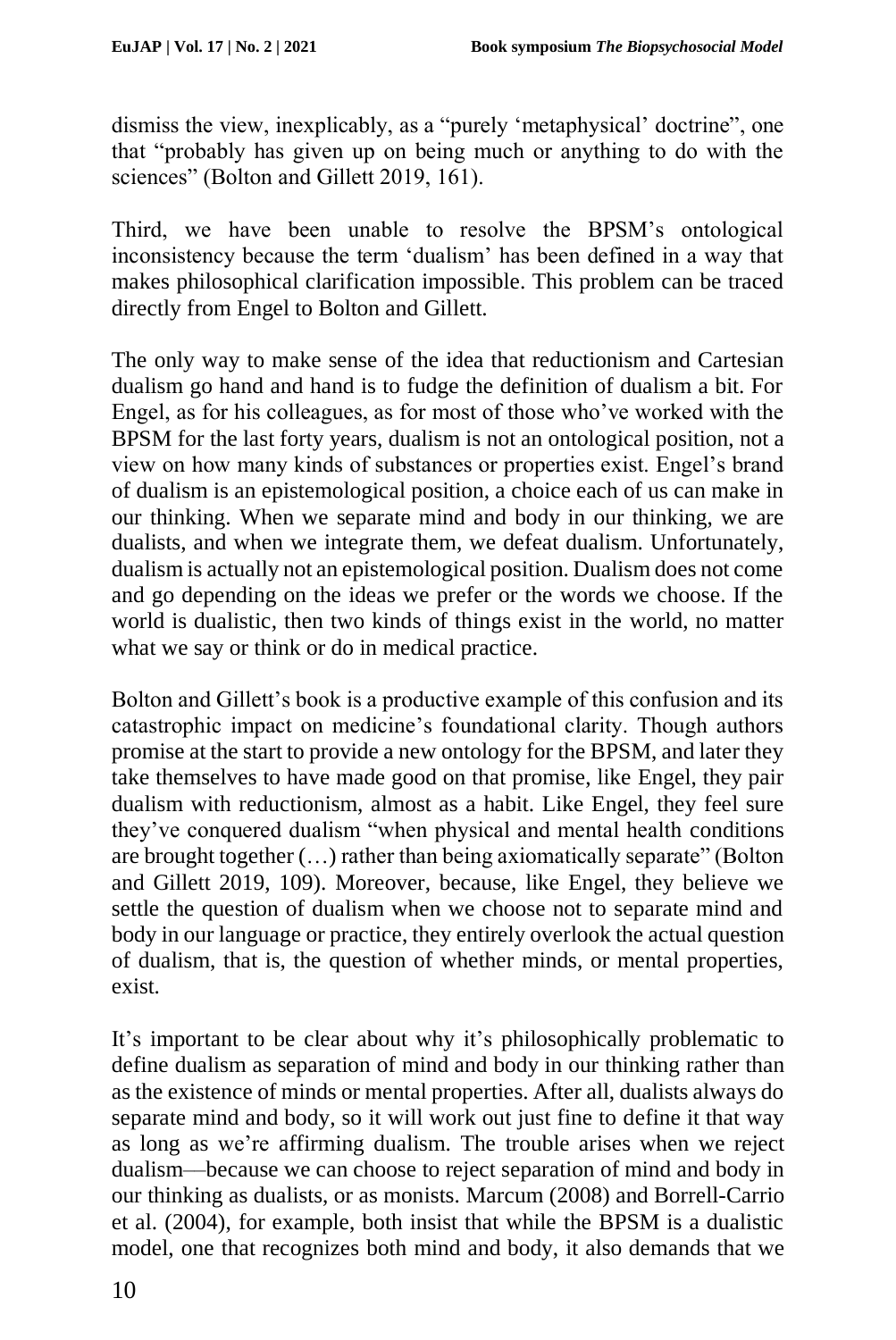dismiss the view, inexplicably, as a "purely 'metaphysical' doctrine", one that "probably has given up on being much or anything to do with the sciences" (Bolton and Gillett 2019, 161).

Third, we have been unable to resolve the BPSM's ontological inconsistency because the term 'dualism' has been defined in a way that makes philosophical clarification impossible. This problem can be traced directly from Engel to Bolton and Gillett.

The only way to make sense of the idea that reductionism and Cartesian dualism go hand and hand is to fudge the definition of dualism a bit. For Engel, as for his colleagues, as for most of those who've worked with the BPSM for the last forty years, dualism is not an ontological position, not a view on how many kinds of substances or properties exist. Engel's brand of dualism is an epistemological position, a choice each of us can make in our thinking. When we separate mind and body in our thinking, we are dualists, and when we integrate them, we defeat dualism. Unfortunately, dualism is actually not an epistemological position. Dualism does not come and go depending on the ideas we prefer or the words we choose. If the world is dualistic, then two kinds of things exist in the world, no matter what we say or think or do in medical practice.

Bolton and Gillett's book is a productive example of this confusion and its catastrophic impact on medicine's foundational clarity. Though authors promise at the start to provide a new ontology for the BPSM, and later they take themselves to have made good on that promise, like Engel, they pair dualism with reductionism, almost as a habit. Like Engel, they feel sure they've conquered dualism "when physical and mental health conditions are brought together (…) rather than being axiomatically separate" (Bolton and Gillett 2019, 109). Moreover, because, like Engel, they believe we settle the question of dualism when we choose not to separate mind and body in our language or practice, they entirely overlook the actual question of dualism, that is, the question of whether minds, or mental properties, exist.

It's important to be clear about why it's philosophically problematic to define dualism as separation of mind and body in our thinking rather than as the existence of minds or mental properties. After all, dualists always do separate mind and body, so it will work out just fine to define it that way as long as we're affirming dualism. The trouble arises when we reject dualism––because we can choose to reject separation of mind and body in our thinking as dualists, or as monists. Marcum (2008) and Borrell-Carrio et al. (2004), for example, both insist that while the BPSM is a dualistic model, one that recognizes both mind and body, it also demands that we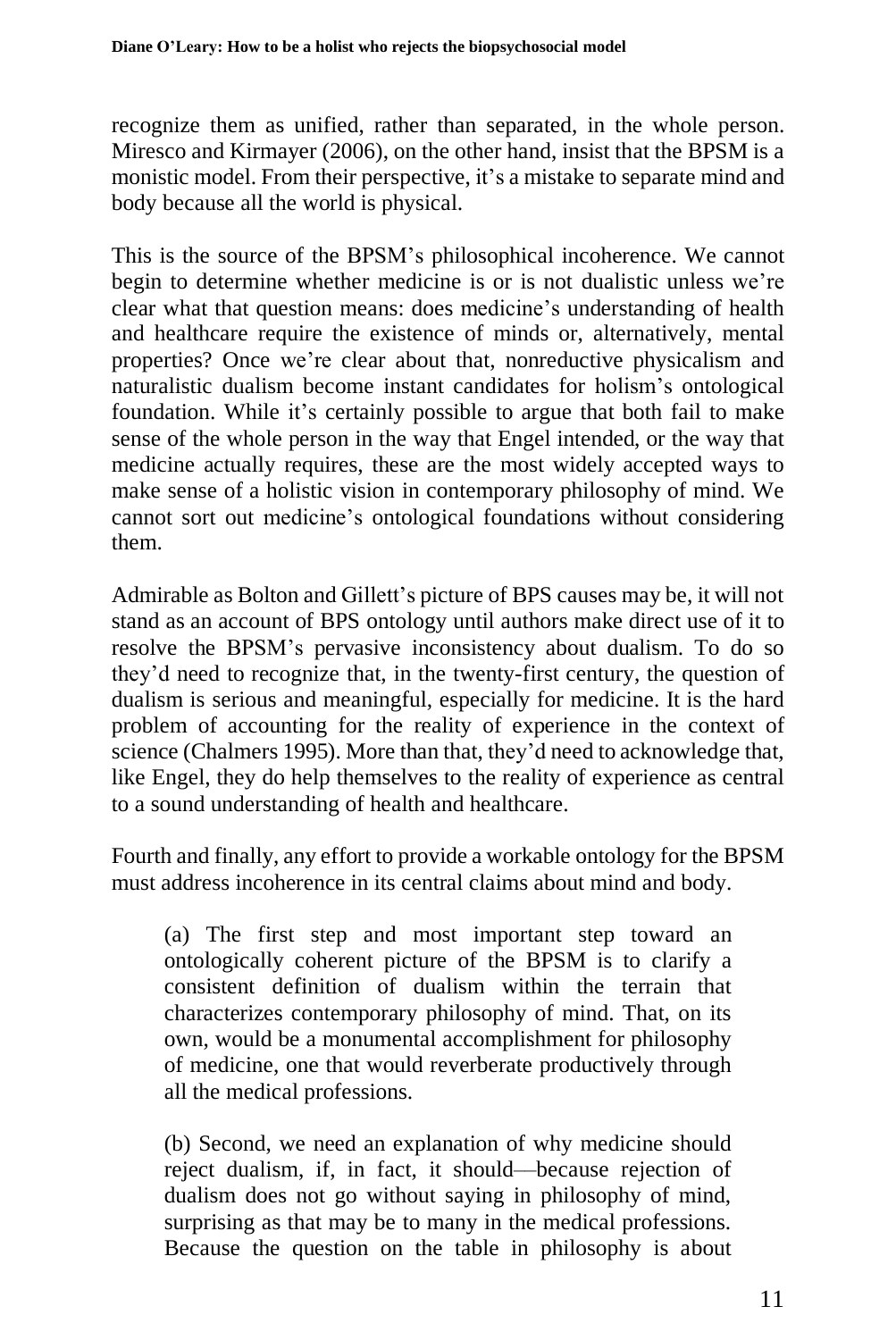recognize them as unified, rather than separated, in the whole person. Miresco and Kirmayer (2006), on the other hand, insist that the BPSM is a monistic model. From their perspective, it's a mistake to separate mind and body because all the world is physical.

This is the source of the BPSM's philosophical incoherence. We cannot begin to determine whether medicine is or is not dualistic unless we're clear what that question means: does medicine's understanding of health and healthcare require the existence of minds or, alternatively, mental properties? Once we're clear about that, nonreductive physicalism and naturalistic dualism become instant candidates for holism's ontological foundation. While it's certainly possible to argue that both fail to make sense of the whole person in the way that Engel intended, or the way that medicine actually requires, these are the most widely accepted ways to make sense of a holistic vision in contemporary philosophy of mind. We cannot sort out medicine's ontological foundations without considering them.

Admirable as Bolton and Gillett's picture of BPS causes may be, it will not stand as an account of BPS ontology until authors make direct use of it to resolve the BPSM's pervasive inconsistency about dualism. To do so they'd need to recognize that, in the twenty-first century, the question of dualism is serious and meaningful, especially for medicine. It is the hard problem of accounting for the reality of experience in the context of science (Chalmers 1995). More than that, they'd need to acknowledge that, like Engel, they do help themselves to the reality of experience as central to a sound understanding of health and healthcare.

Fourth and finally, any effort to provide a workable ontology for the BPSM must address incoherence in its central claims about mind and body.

(a) The first step and most important step toward an ontologically coherent picture of the BPSM is to clarify a consistent definition of dualism within the terrain that characterizes contemporary philosophy of mind. That, on its own, would be a monumental accomplishment for philosophy of medicine, one that would reverberate productively through all the medical professions.

(b) Second, we need an explanation of why medicine should reject dualism, if, in fact, it should––because rejection of dualism does not go without saying in philosophy of mind, surprising as that may be to many in the medical professions. Because the question on the table in philosophy is about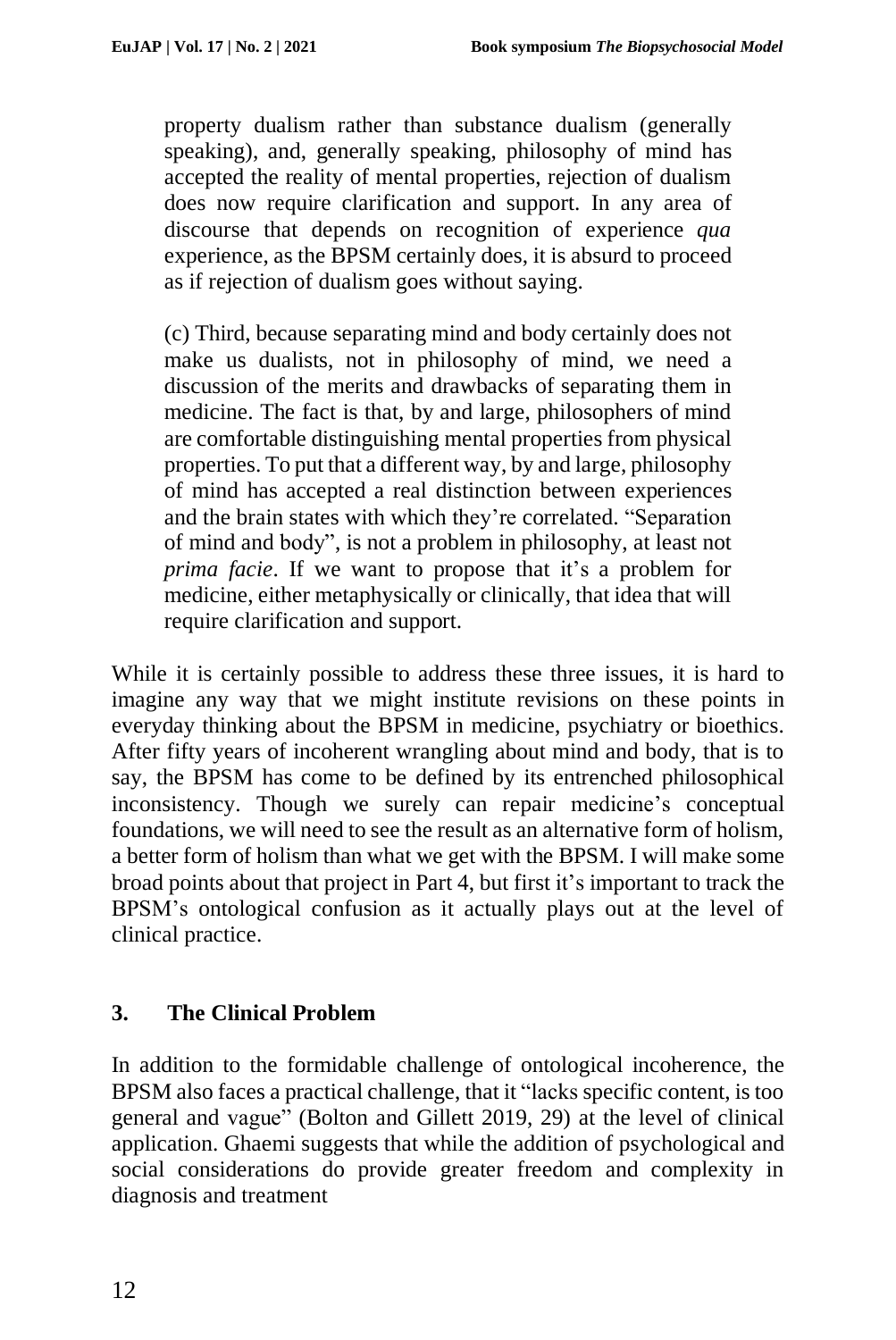property dualism rather than substance dualism (generally speaking), and, generally speaking, philosophy of mind has accepted the reality of mental properties, rejection of dualism does now require clarification and support. In any area of discourse that depends on recognition of experience *qua* experience, as the BPSM certainly does, it is absurd to proceed as if rejection of dualism goes without saying.

(c) Third, because separating mind and body certainly does not make us dualists, not in philosophy of mind, we need a discussion of the merits and drawbacks of separating them in medicine. The fact is that, by and large, philosophers of mind are comfortable distinguishing mental properties from physical properties. To put that a different way, by and large, philosophy of mind has accepted a real distinction between experiences and the brain states with which they're correlated. "Separation of mind and body", is not a problem in philosophy, at least not *prima facie*. If we want to propose that it's a problem for medicine, either metaphysically or clinically, that idea that will require clarification and support.

While it is certainly possible to address these three issues, it is hard to imagine any way that we might institute revisions on these points in everyday thinking about the BPSM in medicine, psychiatry or bioethics. After fifty years of incoherent wrangling about mind and body, that is to say, the BPSM has come to be defined by its entrenched philosophical inconsistency. Though we surely can repair medicine's conceptual foundations, we will need to see the result as an alternative form of holism, a better form of holism than what we get with the BPSM. I will make some broad points about that project in Part 4, but first it's important to track the BPSM's ontological confusion as it actually plays out at the level of clinical practice.

# **3. The Clinical Problem**

In addition to the formidable challenge of ontological incoherence, the BPSM also faces a practical challenge, that it "lacks specific content, is too general and vague" (Bolton and Gillett 2019, 29) at the level of clinical application. Ghaemi suggests that while the addition of psychological and social considerations do provide greater freedom and complexity in diagnosis and treatment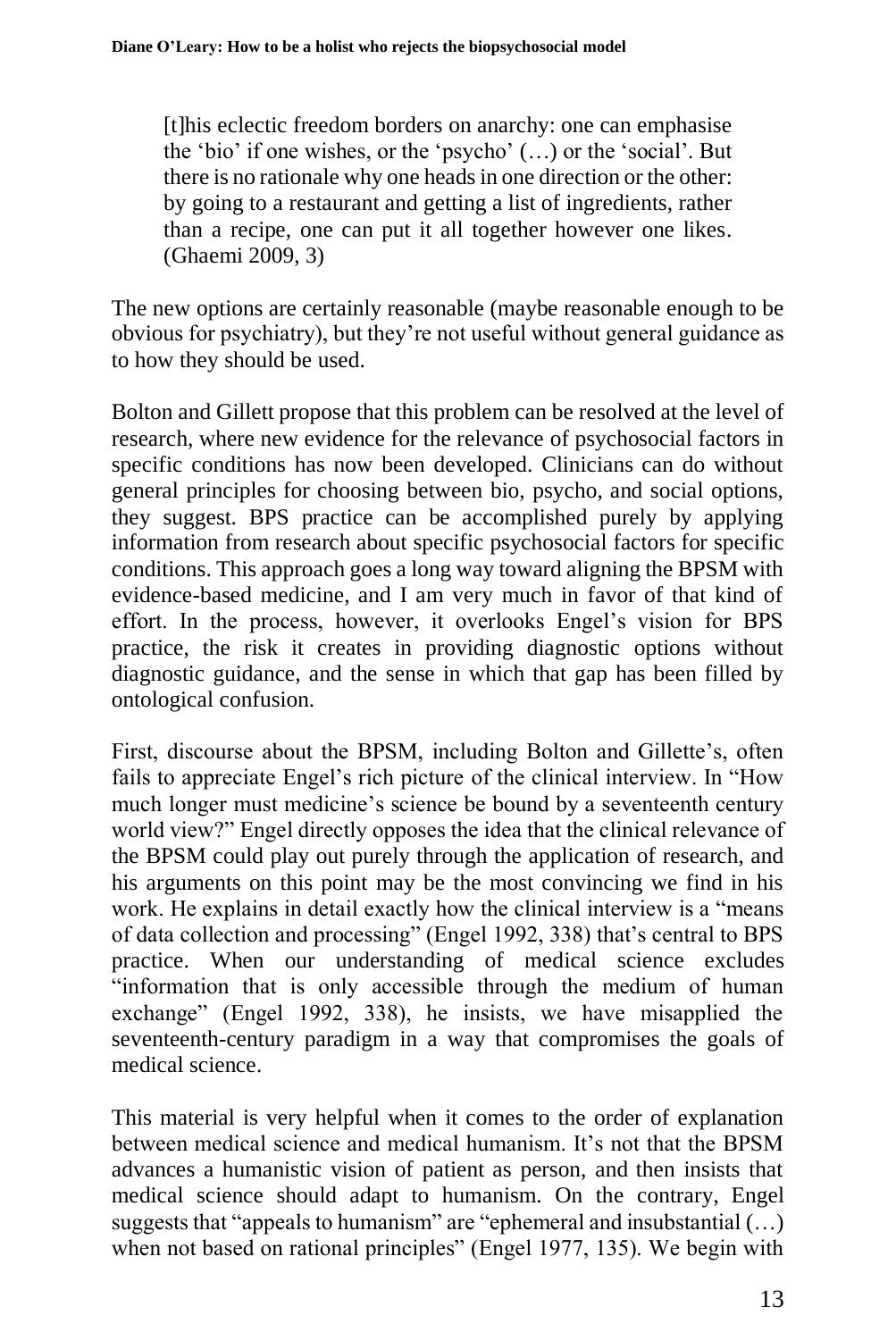[t]his eclectic freedom borders on anarchy: one can emphasise the 'bio' if one wishes, or the 'psycho' (…) or the 'social'. But there is no rationale why one heads in one direction or the other: by going to a restaurant and getting a list of ingredients, rather than a recipe, one can put it all together however one likes. (Ghaemi 2009, 3)

The new options are certainly reasonable (maybe reasonable enough to be obvious for psychiatry), but they're not useful without general guidance as to how they should be used.

Bolton and Gillett propose that this problem can be resolved at the level of research, where new evidence for the relevance of psychosocial factors in specific conditions has now been developed. Clinicians can do without general principles for choosing between bio, psycho, and social options, they suggest. BPS practice can be accomplished purely by applying information from research about specific psychosocial factors for specific conditions. This approach goes a long way toward aligning the BPSM with evidence-based medicine, and I am very much in favor of that kind of effort. In the process, however, it overlooks Engel's vision for BPS practice, the risk it creates in providing diagnostic options without diagnostic guidance, and the sense in which that gap has been filled by ontological confusion.

First, discourse about the BPSM, including Bolton and Gillette's, often fails to appreciate Engel's rich picture of the clinical interview. In "How much longer must medicine's science be bound by a seventeenth century world view?" Engel directly opposes the idea that the clinical relevance of the BPSM could play out purely through the application of research, and his arguments on this point may be the most convincing we find in his work. He explains in detail exactly how the clinical interview is a "means of data collection and processing" (Engel 1992, 338) that's central to BPS practice. When our understanding of medical science excludes "information that is only accessible through the medium of human exchange" (Engel 1992, 338), he insists, we have misapplied the seventeenth-century paradigm in a way that compromises the goals of medical science.

This material is very helpful when it comes to the order of explanation between medical science and medical humanism. It's not that the BPSM advances a humanistic vision of patient as person, and then insists that medical science should adapt to humanism. On the contrary, Engel suggests that "appeals to humanism" are "ephemeral and insubstantial (…) when not based on rational principles" (Engel 1977, 135). We begin with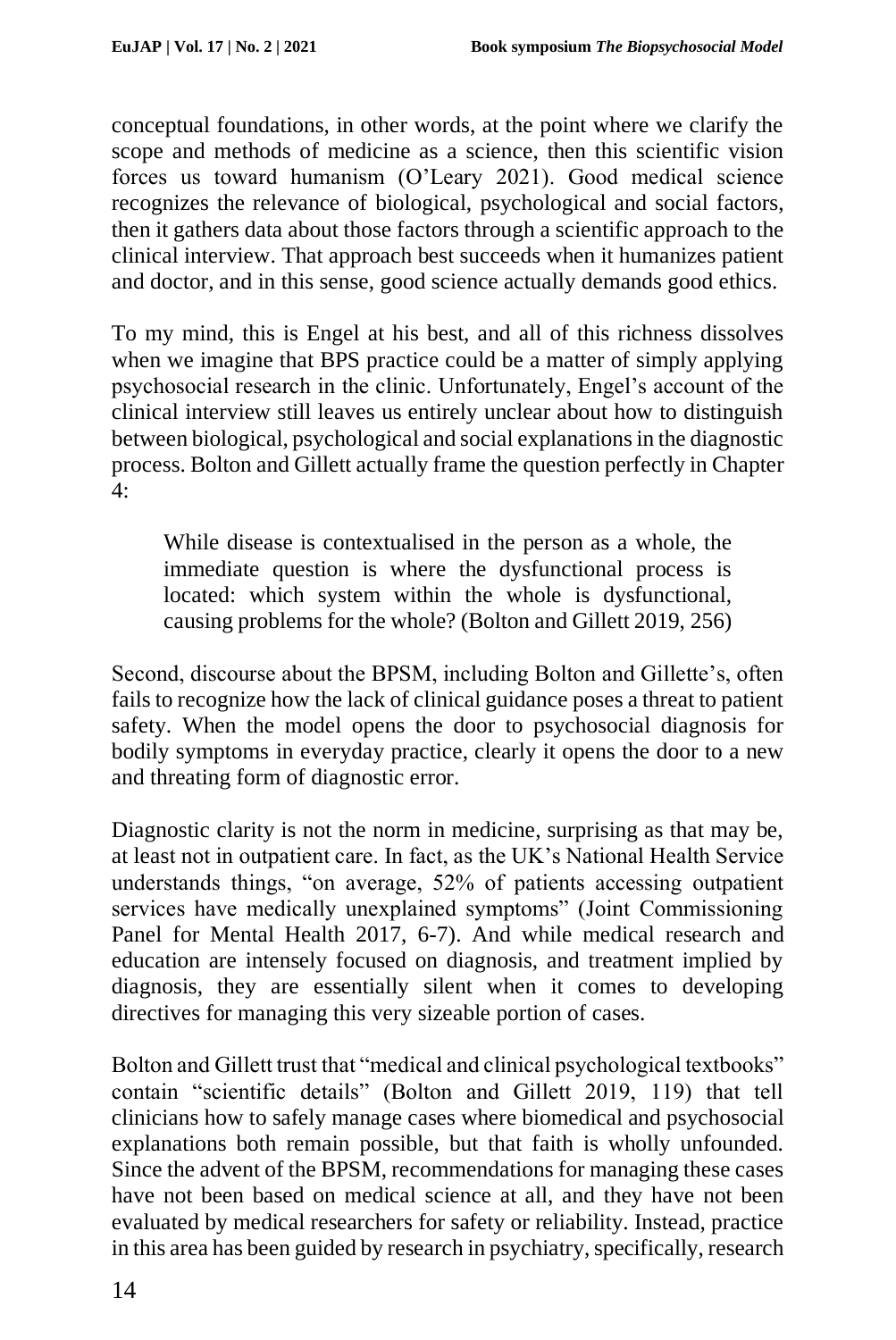conceptual foundations, in other words, at the point where we clarify the scope and methods of medicine as a science, then this scientific vision forces us toward humanism (O'Leary 2021). Good medical science recognizes the relevance of biological, psychological and social factors, then it gathers data about those factors through a scientific approach to the clinical interview. That approach best succeeds when it humanizes patient and doctor, and in this sense, good science actually demands good ethics.

To my mind, this is Engel at his best, and all of this richness dissolves when we imagine that BPS practice could be a matter of simply applying psychosocial research in the clinic. Unfortunately, Engel's account of the clinical interview still leaves us entirely unclear about how to distinguish between biological, psychological and social explanations in the diagnostic process. Bolton and Gillett actually frame the question perfectly in Chapter 4:

While disease is contextualised in the person as a whole, the immediate question is where the dysfunctional process is located: which system within the whole is dysfunctional, causing problems for the whole? (Bolton and Gillett 2019, 256)

Second, discourse about the BPSM, including Bolton and Gillette's, often fails to recognize how the lack of clinical guidance poses a threat to patient safety. When the model opens the door to psychosocial diagnosis for bodily symptoms in everyday practice, clearly it opens the door to a new and threating form of diagnostic error.

Diagnostic clarity is not the norm in medicine, surprising as that may be, at least not in outpatient care. In fact, as the UK's National Health Service understands things, "on average, 52% of patients accessing outpatient services have medically unexplained symptoms" (Joint Commissioning Panel for Mental Health 2017, 6-7). And while medical research and education are intensely focused on diagnosis, and treatment implied by diagnosis, they are essentially silent when it comes to developing directives for managing this very sizeable portion of cases.

Bolton and Gillett trust that "medical and clinical psychological textbooks" contain "scientific details" (Bolton and Gillett 2019, 119) that tell clinicians how to safely manage cases where biomedical and psychosocial explanations both remain possible, but that faith is wholly unfounded. Since the advent of the BPSM, recommendations for managing these cases have not been based on medical science at all, and they have not been evaluated by medical researchers for safety or reliability. Instead, practice in this area has been guided by research in psychiatry, specifically, research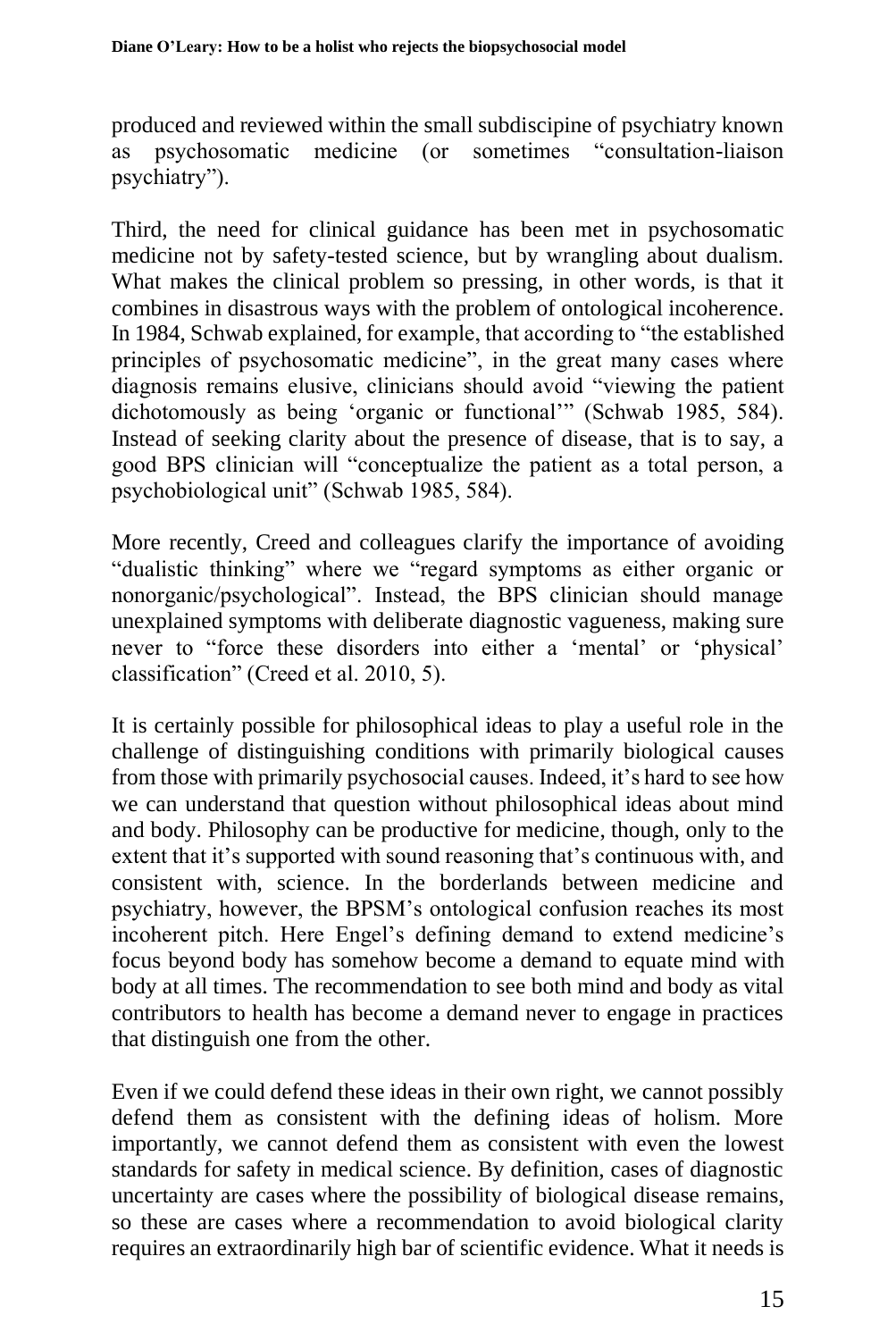produced and reviewed within the small subdiscipine of psychiatry known<br>as psychosomatic medicine (or sometimes "consultation-liaison") as psychosomatic medicine (or psychiatry").

Third, the need for clinical guidance has been met in psychosomatic medicine not by safety-tested science, but by wrangling about dualism. What makes the clinical problem so pressing, in other words, is that it combines in disastrous ways with the problem of ontological incoherence. In 1984, Schwab explained, for example, that according to "the established principles of psychosomatic medicine", in the great many cases where diagnosis remains elusive, clinicians should avoid "viewing the patient dichotomously as being 'organic or functional'" (Schwab 1985, 584). Instead of seeking clarity about the presence of disease, that is to say, a good BPS clinician will "conceptualize the patient as a total person, a psychobiological unit" (Schwab 1985, 584).

More recently, Creed and colleagues clarify the importance of avoiding "dualistic thinking" where we "regard symptoms as either organic or nonorganic/psychological". Instead, the BPS clinician should manage unexplained symptoms with deliberate diagnostic vagueness, making sure never to "force these disorders into either a 'mental' or 'physical' classification" (Creed et al. 2010, 5).

It is certainly possible for philosophical ideas to play a useful role in the challenge of distinguishing conditions with primarily biological causes from those with primarily psychosocial causes. Indeed, it's hard to see how we can understand that question without philosophical ideas about mind and body. Philosophy can be productive for medicine, though, only to the extent that it's supported with sound reasoning that's continuous with, and consistent with, science. In the borderlands between medicine and psychiatry, however, the BPSM's ontological confusion reaches its most incoherent pitch. Here Engel's defining demand to extend medicine's focus beyond body has somehow become a demand to equate mind with body at all times. The recommendation to see both mind and body as vital contributors to health has become a demand never to engage in practices that distinguish one from the other.

Even if we could defend these ideas in their own right, we cannot possibly defend them as consistent with the defining ideas of holism. More importantly, we cannot defend them as consistent with even the lowest standards for safety in medical science. By definition, cases of diagnostic uncertainty are cases where the possibility of biological disease remains, so these are cases where a recommendation to avoid biological clarity requires an extraordinarily high bar of scientific evidence. What it needs is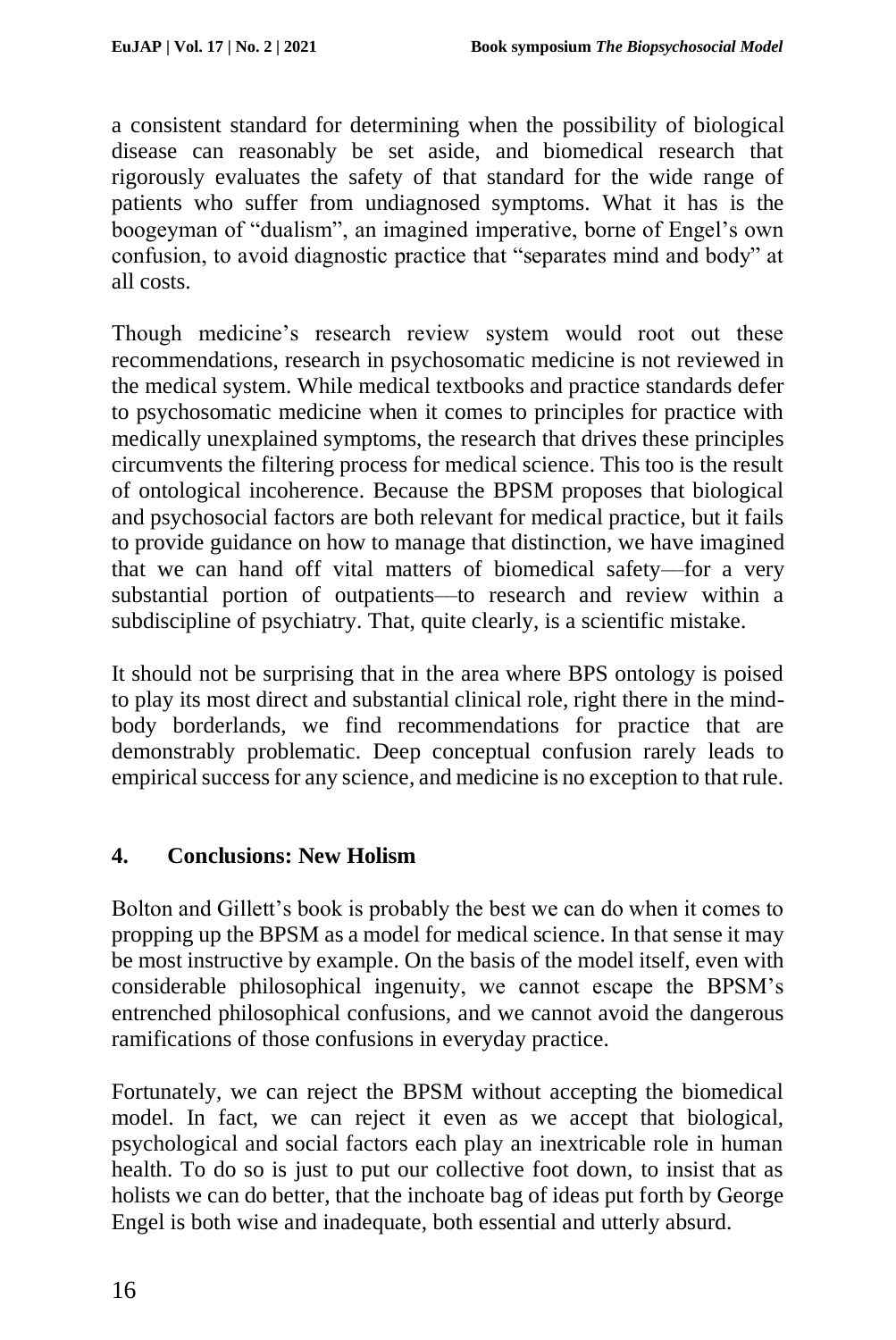a consistent standard for determining when the possibility of biological disease can reasonably be set aside, and biomedical research that rigorously evaluates the safety of that standard for the wide range of patients who suffer from undiagnosed symptoms. What it has is the boogeyman of "dualism", an imagined imperative, borne of Engel's own confusion, to avoid diagnostic practice that "separates mind and body" at all costs.

Though medicine's research review system would root out these recommendations, research in psychosomatic medicine is not reviewed in the medical system. While medical textbooks and practice standards defer to psychosomatic medicine when it comes to principles for practice with medically unexplained symptoms, the research that drives these principles circumvents the filtering process for medical science. This too is the result of ontological incoherence. Because the BPSM proposes that biological and psychosocial factors are both relevant for medical practice, but it fails to provide guidance on how to manage that distinction, we have imagined that we can hand off vital matters of biomedical safety––for a very substantial portion of outpatients––to research and review within a subdiscipline of psychiatry. That, quite clearly, is a scientific mistake.

It should not be surprising that in the area where BPS ontology is poised to play its most direct and substantial clinical role, right there in the mindbody borderlands, we find recommendations for practice that are demonstrably problematic. Deep conceptual confusion rarely leads to empirical success for any science, and medicine is no exception to that rule.

### **4. Conclusions: New Holism**

Bolton and Gillett's book is probably the best we can do when it comes to propping up the BPSM as a model for medical science. In that sense it may be most instructive by example. On the basis of the model itself, even with considerable philosophical ingenuity, we cannot escape the BPSM's entrenched philosophical confusions, and we cannot avoid the dangerous ramifications of those confusions in everyday practice.

Fortunately, we can reject the BPSM without accepting the biomedical model. In fact, we can reject it even as we accept that biological, psychological and social factors each play an inextricable role in human health. To do so is just to put our collective foot down, to insist that as holists we can do better, that the inchoate bag of ideas put forth by George Engel is both wise and inadequate, both essential and utterly absurd.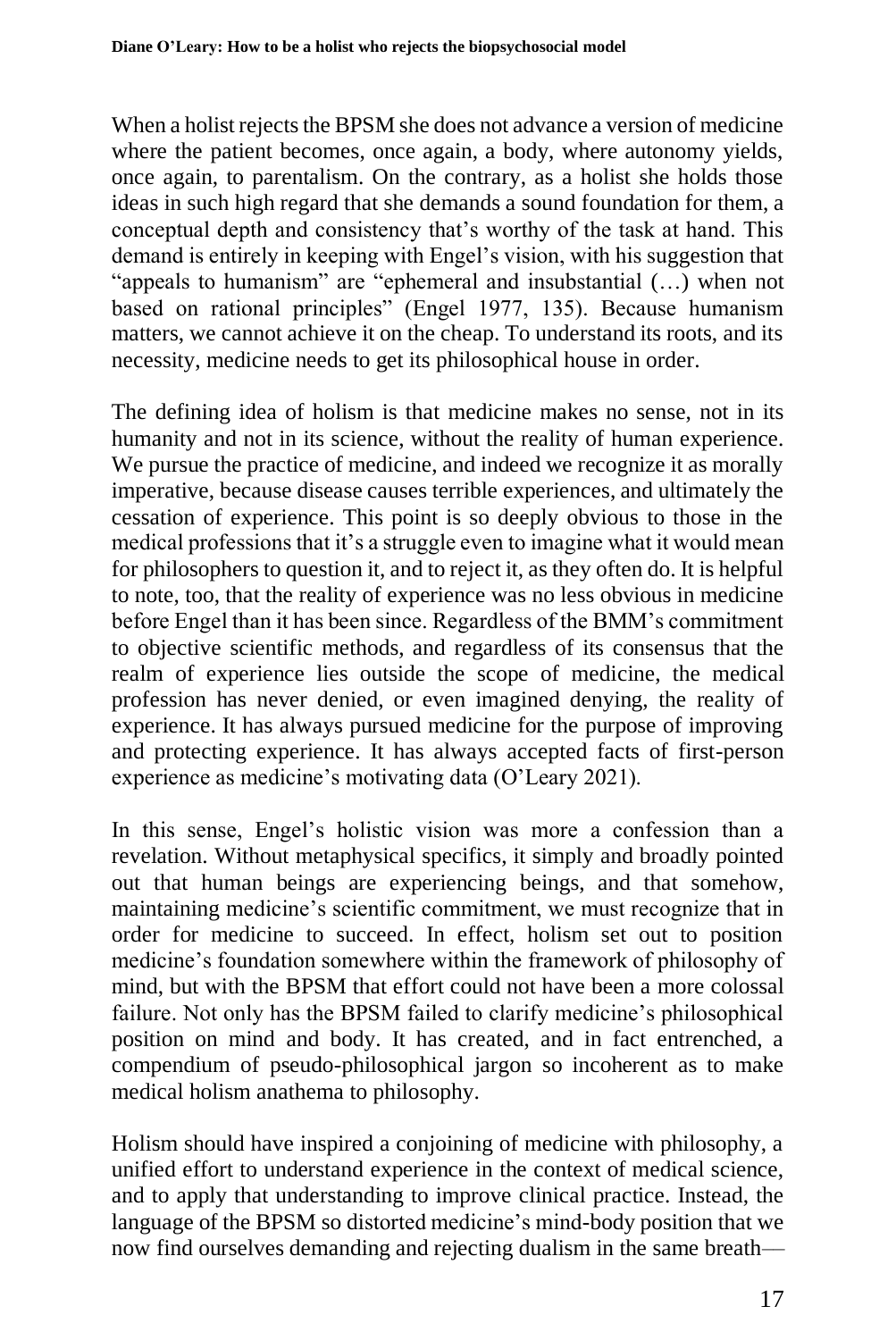When a holist rejects the BPSM she does not advance a version of medicine where the patient becomes, once again, a body, where autonomy yields, once again, to parentalism. On the contrary, as a holist she holds those ideas in such high regard that she demands a sound foundation for them, a conceptual depth and consistency that's worthy of the task at hand. This demand is entirely in keeping with Engel's vision, with his suggestion that "appeals to humanism" are "ephemeral and insubstantial (…) when not based on rational principles" (Engel 1977, 135). Because humanism matters, we cannot achieve it on the cheap. To understand its roots, and its necessity, medicine needs to get its philosophical house in order.

The defining idea of holism is that medicine makes no sense, not in its humanity and not in its science, without the reality of human experience. We pursue the practice of medicine, and indeed we recognize it as morally imperative, because disease causes terrible experiences, and ultimately the cessation of experience. This point is so deeply obvious to those in the medical professions that it's a struggle even to imagine what it would mean for philosophers to question it, and to reject it, as they often do. It is helpful to note, too, that the reality of experience was no less obvious in medicine before Engel than it has been since. Regardless of the BMM's commitment to objective scientific methods, and regardless of its consensus that the realm of experience lies outside the scope of medicine, the medical profession has never denied, or even imagined denying, the reality of experience. It has always pursued medicine for the purpose of improving and protecting experience. It has always accepted facts of first-person experience as medicine's motivating data (O'Leary 2021).

In this sense, Engel's holistic vision was more a confession than a revelation. Without metaphysical specifics, it simply and broadly pointed out that human beings are experiencing beings, and that somehow, maintaining medicine's scientific commitment, we must recognize that in order for medicine to succeed. In effect, holism set out to position medicine's foundation somewhere within the framework of philosophy of mind, but with the BPSM that effort could not have been a more colossal failure. Not only has the BPSM failed to clarify medicine's philosophical position on mind and body. It has created, and in fact entrenched, a compendium of pseudo-philosophical jargon so incoherent as to make medical holism anathema to philosophy.

Holism should have inspired a conjoining of medicine with philosophy, a unified effort to understand experience in the context of medical science, and to apply that understanding to improve clinical practice. Instead, the language of the BPSM so distorted medicine's mind-body position that we now find ourselves demanding and rejecting dualism in the same breath––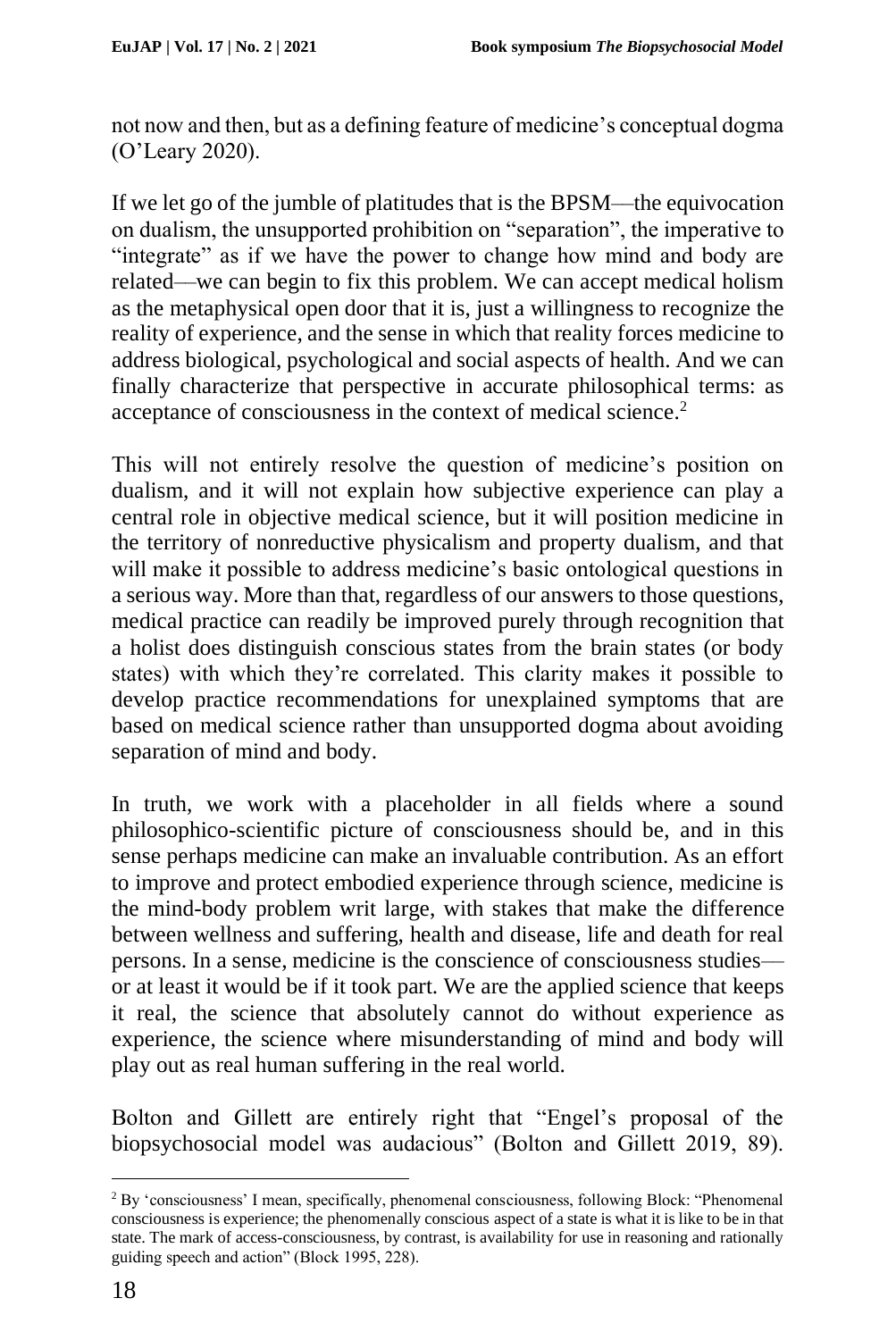not now and then, but as a defining feature of medicine's conceptual dogma (O'Leary 2020).

If we let go of the jumble of platitudes that is the BPSM––the equivocation on dualism, the unsupported prohibition on "separation", the imperative to "integrate" as if we have the power to change how mind and body are related––we can begin to fix this problem. We can accept medical holism as the metaphysical open door that it is, just a willingness to recognize the reality of experience, and the sense in which that reality forces medicine to address biological, psychological and social aspects of health. And we can finally characterize that perspective in accurate philosophical terms: as acceptance of consciousness in the context of medical science.<sup>2</sup>

This will not entirely resolve the question of medicine's position on dualism, and it will not explain how subjective experience can play a central role in objective medical science, but it will position medicine in the territory of nonreductive physicalism and property dualism, and that will make it possible to address medicine's basic ontological questions in a serious way. More than that, regardless of our answers to those questions, medical practice can readily be improved purely through recognition that a holist does distinguish conscious states from the brain states (or body states) with which they're correlated. This clarity makes it possible to develop practice recommendations for unexplained symptoms that are based on medical science rather than unsupported dogma about avoiding separation of mind and body.

In truth, we work with a placeholder in all fields where a sound philosophico-scientific picture of consciousness should be, and in this sense perhaps medicine can make an invaluable contribution. As an effort to improve and protect embodied experience through science, medicine is the mind-body problem writ large, with stakes that make the difference between wellness and suffering, health and disease, life and death for real persons. In a sense, medicine is the conscience of consciousness studies–– or at least it would be if it took part. We are the applied science that keeps it real, the science that absolutely cannot do without experience as experience, the science where misunderstanding of mind and body will play out as real human suffering in the real world.

Bolton and Gillett are entirely right that "Engel's proposal of the biopsychosocial model was audacious" (Bolton and Gillett 2019, 89).

<sup>2</sup> By 'consciousness' I mean, specifically, phenomenal consciousness, following Block: "Phenomenal consciousness is experience; the phenomenally conscious aspect of a state is what it is like to be in that state. The mark of access-consciousness, by contrast, is availability for use in reasoning and rationally guiding speech and action" (Block 1995, 228).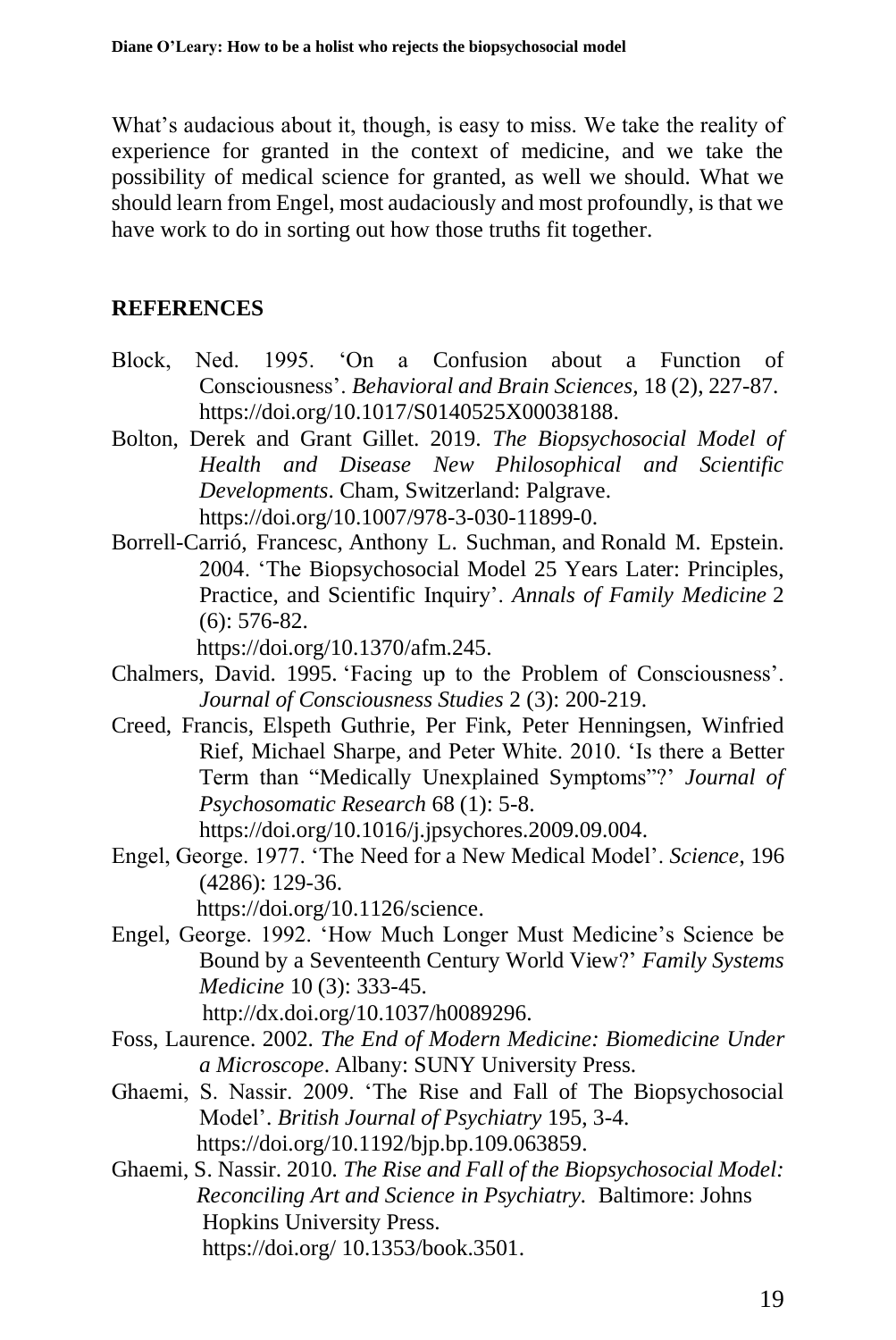What's audacious about it, though, is easy to miss. We take the reality of experience for granted in the context of medicine, and we take the possibility of medical science for granted, as well we should. What we should learn from Engel, most audaciously and most profoundly, is that we have work to do in sorting out how those truths fit together.

# **REFERENCES**

- Block, Ned. 1995. 'On a Confusion about a Function of Consciousness'. *Behavioral and Brain Sciences,* 18 (2), 227-87. https://doi.org/10.1017/S0140525X00038188.
- Bolton, Derek and Grant Gillet. 2019. *The Biopsychosocial Model of Health and Disease New Philosophical and Scientific Developments*. Cham, Switzerland: Palgrave. https://doi.org/10.1007/978-3-030-11899-0.
- Borrell-Carrió, Francesc, Anthony L. Suchman, and Ronald M. Epstein. 2004. 'The Biopsychosocial Model 25 Years Later: Principles, Practice, and Scientific Inquiry'. *Annals of Family Medicine* 2 (6): 576-82.

https://doi.org/10.1370/afm.245.

- Chalmers, David. 1995. 'Facing up to the Problem of Consciousness'. *Journal of Consciousness Studies* 2 (3): 200-219.
- Creed, Francis, Elspeth Guthrie, Per Fink, Peter Henningsen, Winfried Rief, Michael Sharpe, and Peter White. 2010. 'Is there a Better Term than "Medically Unexplained Symptoms"?' *Journal of Psychosomatic Research* 68 (1): 5-8.

[https://doi.org/10.1016/j.jpsychores.2009.09.004.](https://doi.org/10.1016/j.jpsychores.2009.09.004)

Engel, George. 1977. 'The Need for a New Medical Model'. *Science*, 196 (4286): 129-36.

https://doi.org/10.1126/science.

Engel, George. 1992. 'How Much Longer Must Medicine's Science be Bound by a Seventeenth Century World View?' *Family Systems Medicine* 10 (3): 333-45.

http://dx.doi.org/10.1037/h0089296.

- Foss, Laurence. 2002. *The End of Modern Medicine: Biomedicine Under a Microscope*. Albany: SUNY University Press.
- Ghaemi, S. Nassir. 2009. 'The Rise and Fall of The Biopsychosocial Model'. *British Journal of Psychiatry* 195, 3-4. https://doi.org/10.1192/bjp.bp.109.063859.
- Ghaemi, S. Nassir. 2010*. The Rise and Fall of the Biopsychosocial Model: Reconciling Art and Science in Psychiatry.* Baltimore: Johns Hopkins University Press. https://doi.org/ [10.1353/book.3501.](http://doi.org/10.1353/book.3501)